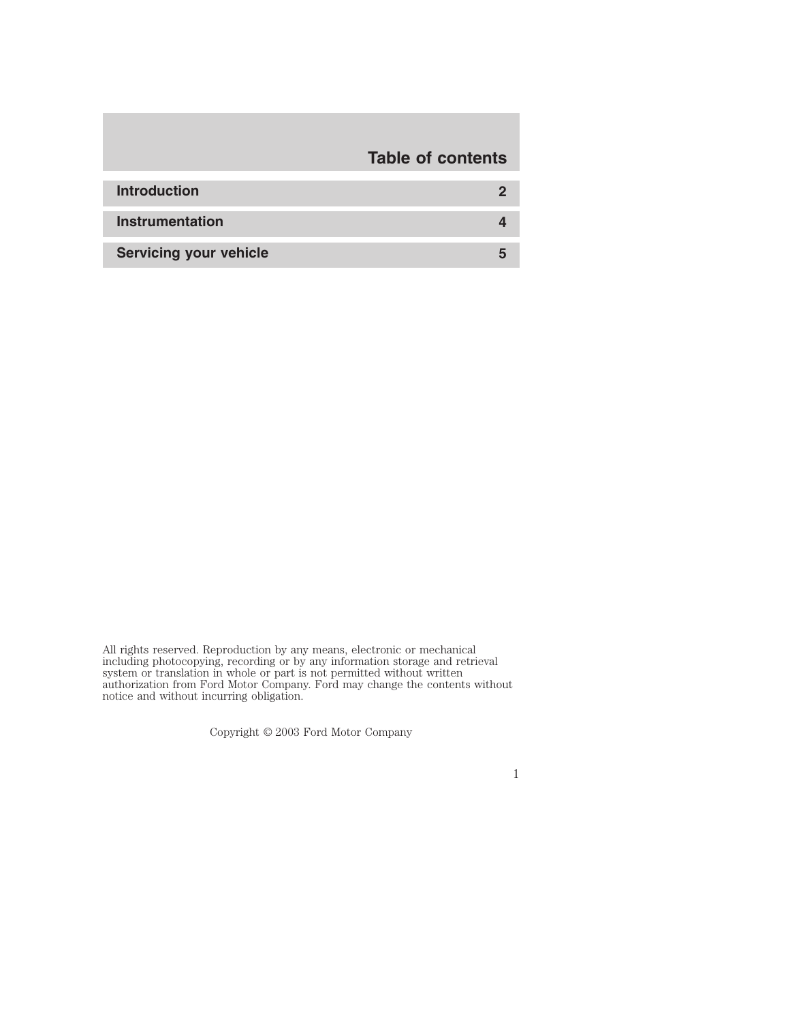# **Table of contents**

| <b>Introduction</b>           |  |
|-------------------------------|--|
| Instrumentation               |  |
| <b>Servicing your vehicle</b> |  |

All rights reserved. Reproduction by any means, electronic or mechanical including photocopying, recording or by any information storage and retrieval system or translation in whole or part is not permitted without written authorization from Ford Motor Company. Ford may change the contents without notice and without incurring obligation.

Copyright © 2003 Ford Motor Company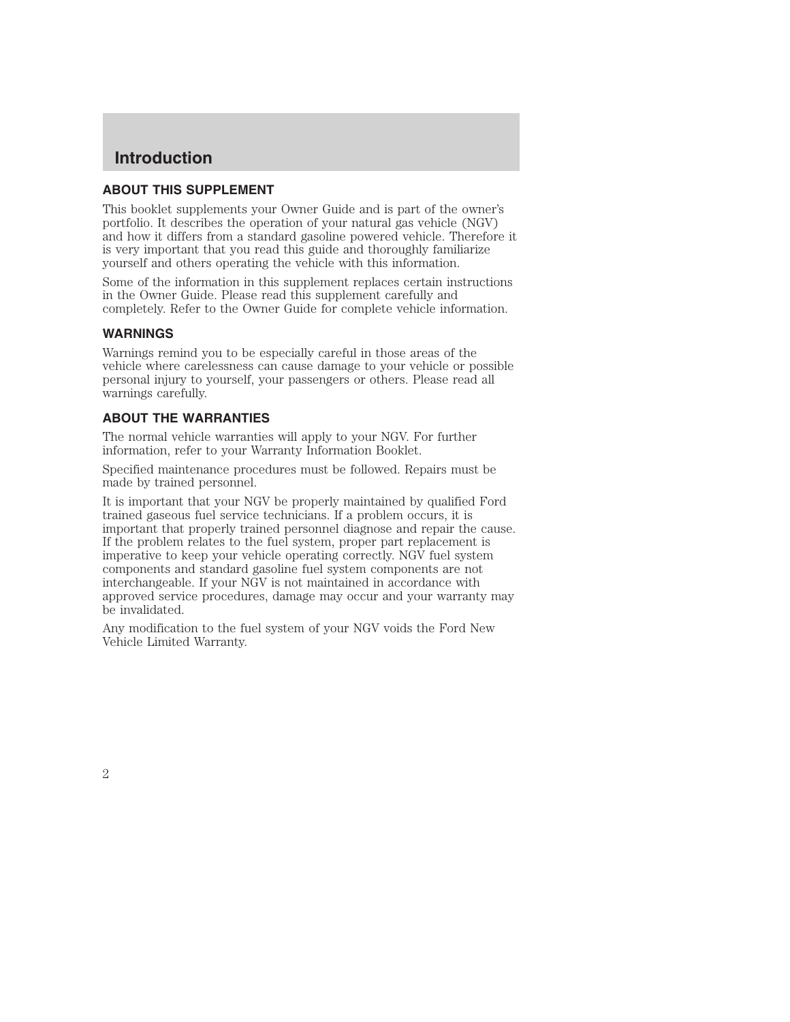## **Introduction**

#### **ABOUT THIS SUPPLEMENT**

This booklet supplements your Owner Guide and is part of the owner's portfolio. It describes the operation of your natural gas vehicle (NGV) and how it differs from a standard gasoline powered vehicle. Therefore it is very important that you read this guide and thoroughly familiarize yourself and others operating the vehicle with this information.

Some of the information in this supplement replaces certain instructions in the Owner Guide. Please read this supplement carefully and completely. Refer to the Owner Guide for complete vehicle information.

#### **WARNINGS**

Warnings remind you to be especially careful in those areas of the vehicle where carelessness can cause damage to your vehicle or possible personal injury to yourself, your passengers or others. Please read all warnings carefully.

#### **ABOUT THE WARRANTIES**

The normal vehicle warranties will apply to your NGV. For further information, refer to your Warranty Information Booklet.

Specified maintenance procedures must be followed. Repairs must be made by trained personnel.

It is important that your NGV be properly maintained by qualified Ford trained gaseous fuel service technicians. If a problem occurs, it is important that properly trained personnel diagnose and repair the cause. If the problem relates to the fuel system, proper part replacement is imperative to keep your vehicle operating correctly. NGV fuel system components and standard gasoline fuel system components are not interchangeable. If your NGV is not maintained in accordance with approved service procedures, damage may occur and your warranty may be invalidated.

Any modification to the fuel system of your NGV voids the Ford New Vehicle Limited Warranty.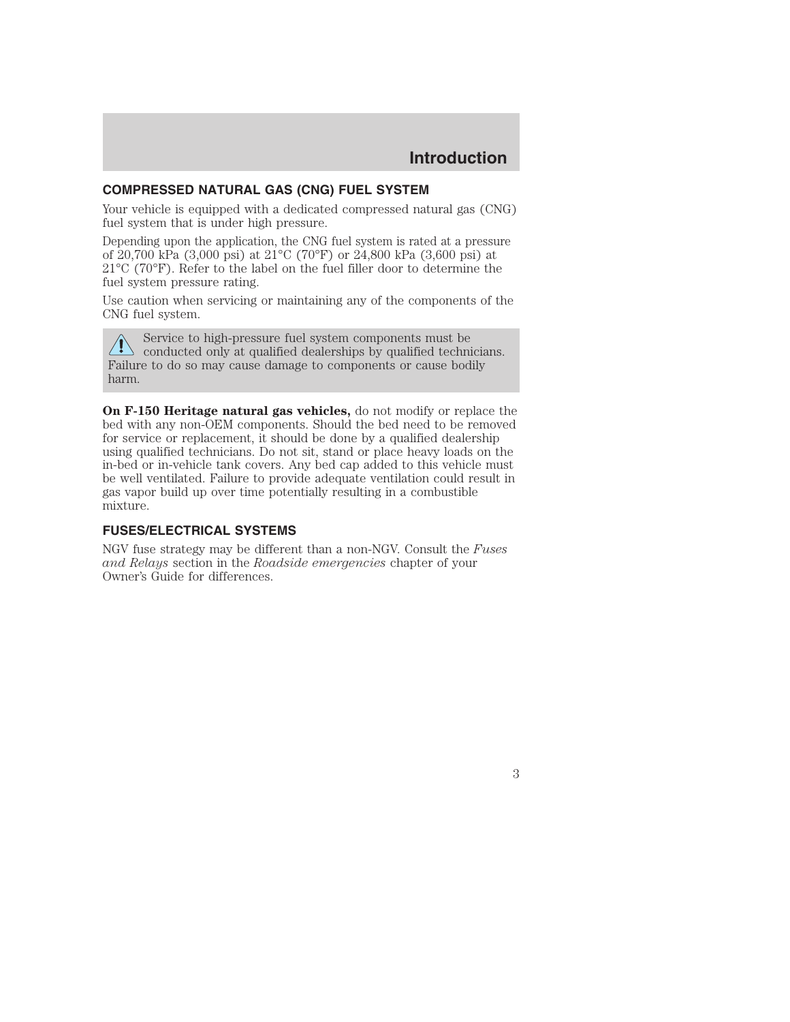## **COMPRESSED NATURAL GAS (CNG) FUEL SYSTEM**

Your vehicle is equipped with a dedicated compressed natural gas (CNG) fuel system that is under high pressure.

Depending upon the application, the CNG fuel system is rated at a pressure of 20,700 kPa (3,000 psi) at 21°C (70°F) or 24,800 kPa (3,600 psi) at 21°C (70°F). Refer to the label on the fuel filler door to determine the fuel system pressure rating.

Use caution when servicing or maintaining any of the components of the CNG fuel system.

Service to high-pressure fuel system components must be  $\langle \cdot \rangle$  service to rugh-pressure fuel system components and technicians. Failure to do so may cause damage to components or cause bodily harm.

**On F-150 Heritage natural gas vehicles,** do not modify or replace the bed with any non-OEM components. Should the bed need to be removed for service or replacement, it should be done by a qualified dealership using qualified technicians. Do not sit, stand or place heavy loads on the in-bed or in-vehicle tank covers. Any bed cap added to this vehicle must be well ventilated. Failure to provide adequate ventilation could result in gas vapor build up over time potentially resulting in a combustible mixture.

#### **FUSES/ELECTRICAL SYSTEMS**

NGV fuse strategy may be different than a non-NGV. Consult the *Fuses and Relays* section in the *Roadside emergencies* chapter of your Owner's Guide for differences.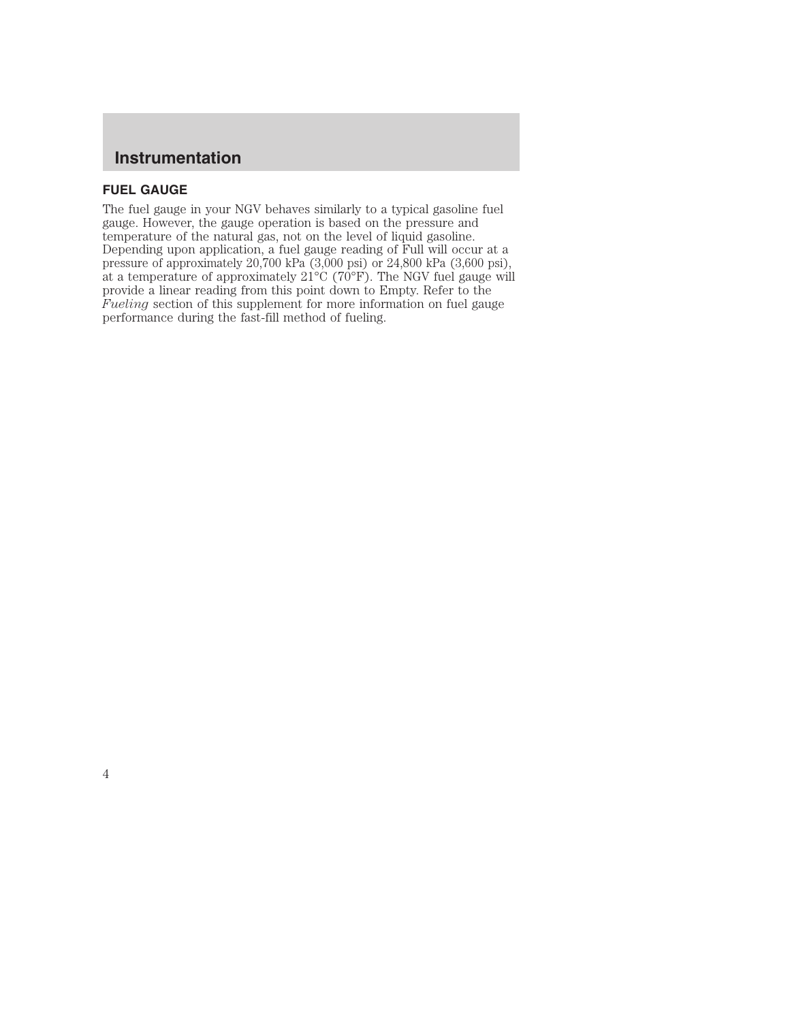## **Instrumentation**

## **FUEL GAUGE**

The fuel gauge in your NGV behaves similarly to a typical gasoline fuel gauge. However, the gauge operation is based on the pressure and temperature of the natural gas, not on the level of liquid gasoline. Depending upon application, a fuel gauge reading of Full will occur at a pressure of approximately 20,700 kPa (3,000 psi) or 24,800 kPa (3,600 psi), at a temperature of approximately  $21^{\circ}C$  (70°F). The NGV fuel gauge will provide a linear reading from this point down to Empty. Refer to the *Fueling* section of this supplement for more information on fuel gauge performance during the fast-fill method of fueling.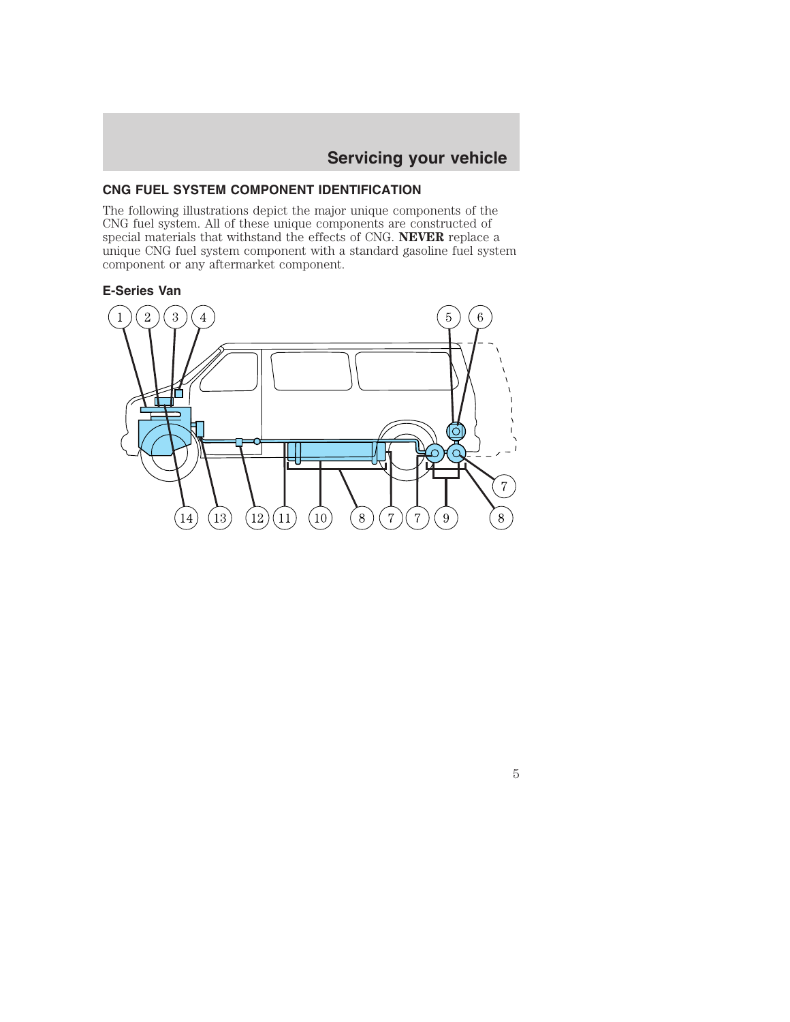## **CNG FUEL SYSTEM COMPONENT IDENTIFICATION**

The following illustrations depict the major unique components of the CNG fuel system. All of these unique components are constructed of special materials that withstand the effects of CNG. **NEVER** replace a unique CNG fuel system component with a standard gasoline fuel system component or any aftermarket component.

## **E-Series Van**

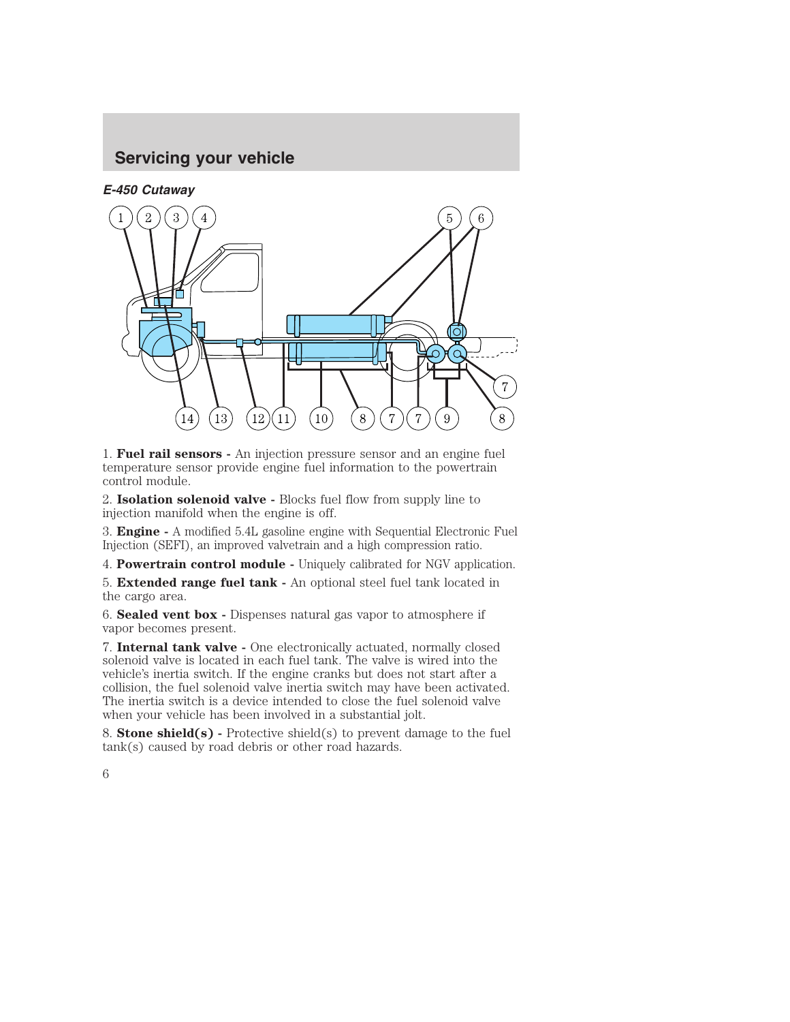

1. **Fuel rail sensors -** An injection pressure sensor and an engine fuel temperature sensor provide engine fuel information to the powertrain control module.

2. **Isolation solenoid valve -** Blocks fuel flow from supply line to injection manifold when the engine is off.

3. **Engine -** A modified 5.4L gasoline engine with Sequential Electronic Fuel Injection (SEFI), an improved valvetrain and a high compression ratio.

4. **Powertrain control module -** Uniquely calibrated for NGV application.

5. **Extended range fuel tank -** An optional steel fuel tank located in the cargo area.

6. **Sealed vent box -** Dispenses natural gas vapor to atmosphere if vapor becomes present.

7. **Internal tank valve -** One electronically actuated, normally closed solenoid valve is located in each fuel tank. The valve is wired into the vehicle's inertia switch. If the engine cranks but does not start after a collision, the fuel solenoid valve inertia switch may have been activated. The inertia switch is a device intended to close the fuel solenoid valve when your vehicle has been involved in a substantial jolt.

8. **Stone shield(s) -** Protective shield(s) to prevent damage to the fuel tank(s) caused by road debris or other road hazards.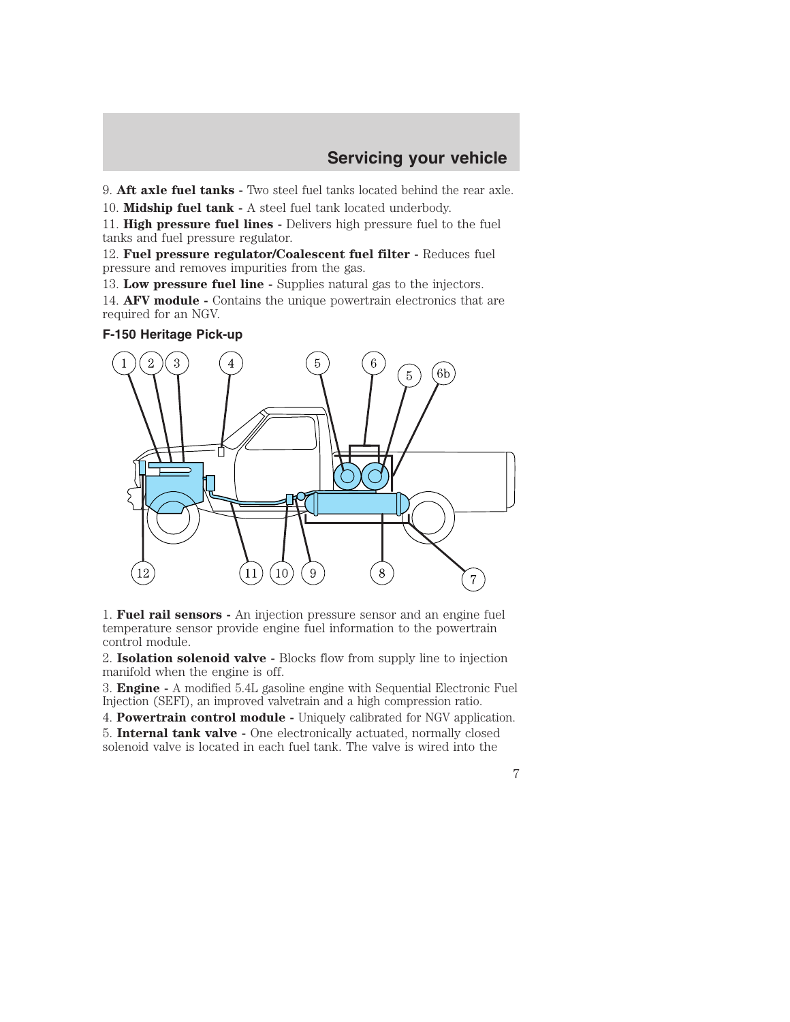9. **Aft axle fuel tanks -** Two steel fuel tanks located behind the rear axle.

10. **Midship fuel tank -** A steel fuel tank located underbody.

11. **High pressure fuel lines -** Delivers high pressure fuel to the fuel tanks and fuel pressure regulator.

12. **Fuel pressure regulator/Coalescent fuel filter -** Reduces fuel pressure and removes impurities from the gas.

13. **Low pressure fuel line -** Supplies natural gas to the injectors.

14. **AFV module -** Contains the unique powertrain electronics that are required for an NGV.

#### **F-150 Heritage Pick-up**



1. **Fuel rail sensors -** An injection pressure sensor and an engine fuel temperature sensor provide engine fuel information to the powertrain control module.

2. **Isolation solenoid valve -** Blocks flow from supply line to injection manifold when the engine is off.

3. **Engine -** A modified 5.4L gasoline engine with Sequential Electronic Fuel Injection (SEFI), an improved valvetrain and a high compression ratio.

4. **Powertrain control module -** Uniquely calibrated for NGV application.

5. **Internal tank valve -** One electronically actuated, normally closed solenoid valve is located in each fuel tank. The valve is wired into the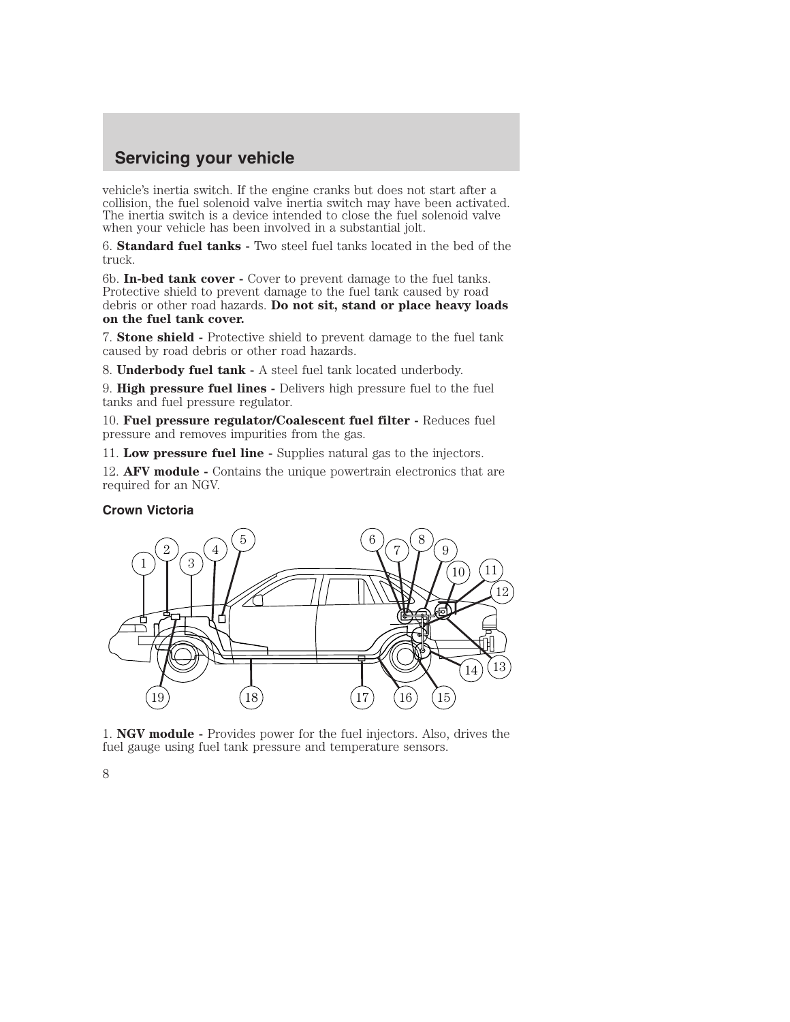vehicle's inertia switch. If the engine cranks but does not start after a collision, the fuel solenoid valve inertia switch may have been activated. The inertia switch is a device intended to close the fuel solenoid valve when your vehicle has been involved in a substantial jolt.

6. **Standard fuel tanks -** Two steel fuel tanks located in the bed of the truck.

6b. **In-bed tank cover -** Cover to prevent damage to the fuel tanks. Protective shield to prevent damage to the fuel tank caused by road debris or other road hazards. **Do not sit, stand or place heavy loads on the fuel tank cover.**

7. **Stone shield -** Protective shield to prevent damage to the fuel tank caused by road debris or other road hazards.

8. **Underbody fuel tank -** A steel fuel tank located underbody.

9. **High pressure fuel lines -** Delivers high pressure fuel to the fuel tanks and fuel pressure regulator.

10. **Fuel pressure regulator/Coalescent fuel filter -** Reduces fuel pressure and removes impurities from the gas.

11. **Low pressure fuel line -** Supplies natural gas to the injectors.

12. **AFV module -** Contains the unique powertrain electronics that are required for an NGV.

#### **Crown Victoria**



1. **NGV module -** Provides power for the fuel injectors. Also, drives the fuel gauge using fuel tank pressure and temperature sensors.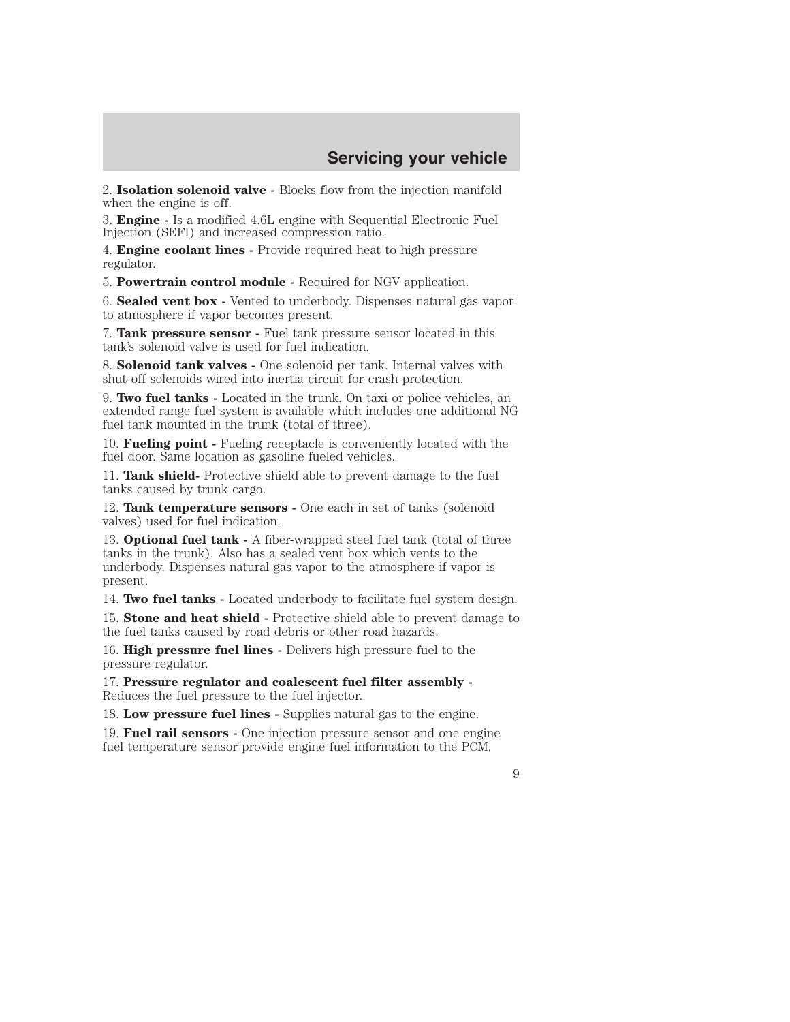2. **Isolation solenoid valve -** Blocks flow from the injection manifold when the engine is off.

3. **Engine -** Is a modified 4.6L engine with Sequential Electronic Fuel Injection (SEFI) and increased compression ratio.

4. **Engine coolant lines -** Provide required heat to high pressure regulator.

5. **Powertrain control module -** Required for NGV application.

6. **Sealed vent box -** Vented to underbody. Dispenses natural gas vapor to atmosphere if vapor becomes present.

7. **Tank pressure sensor -** Fuel tank pressure sensor located in this tank's solenoid valve is used for fuel indication.

8. **Solenoid tank valves -** One solenoid per tank. Internal valves with shut-off solenoids wired into inertia circuit for crash protection.

9. **Two fuel tanks -** Located in the trunk. On taxi or police vehicles, an extended range fuel system is available which includes one additional NG fuel tank mounted in the trunk (total of three).

10. **Fueling point -** Fueling receptacle is conveniently located with the fuel door. Same location as gasoline fueled vehicles.

11. **Tank shield-** Protective shield able to prevent damage to the fuel tanks caused by trunk cargo.

12. **Tank temperature sensors -** One each in set of tanks (solenoid valves) used for fuel indication.

13. **Optional fuel tank -** A fiber-wrapped steel fuel tank (total of three tanks in the trunk). Also has a sealed vent box which vents to the underbody. Dispenses natural gas vapor to the atmosphere if vapor is present.

14. **Two fuel tanks -** Located underbody to facilitate fuel system design.

15. **Stone and heat shield -** Protective shield able to prevent damage to the fuel tanks caused by road debris or other road hazards.

16. **High pressure fuel lines -** Delivers high pressure fuel to the pressure regulator.

17. **Pressure regulator and coalescent fuel filter assembly -** Reduces the fuel pressure to the fuel injector.

18. **Low pressure fuel lines -** Supplies natural gas to the engine.

19. **Fuel rail sensors -** One injection pressure sensor and one engine fuel temperature sensor provide engine fuel information to the PCM.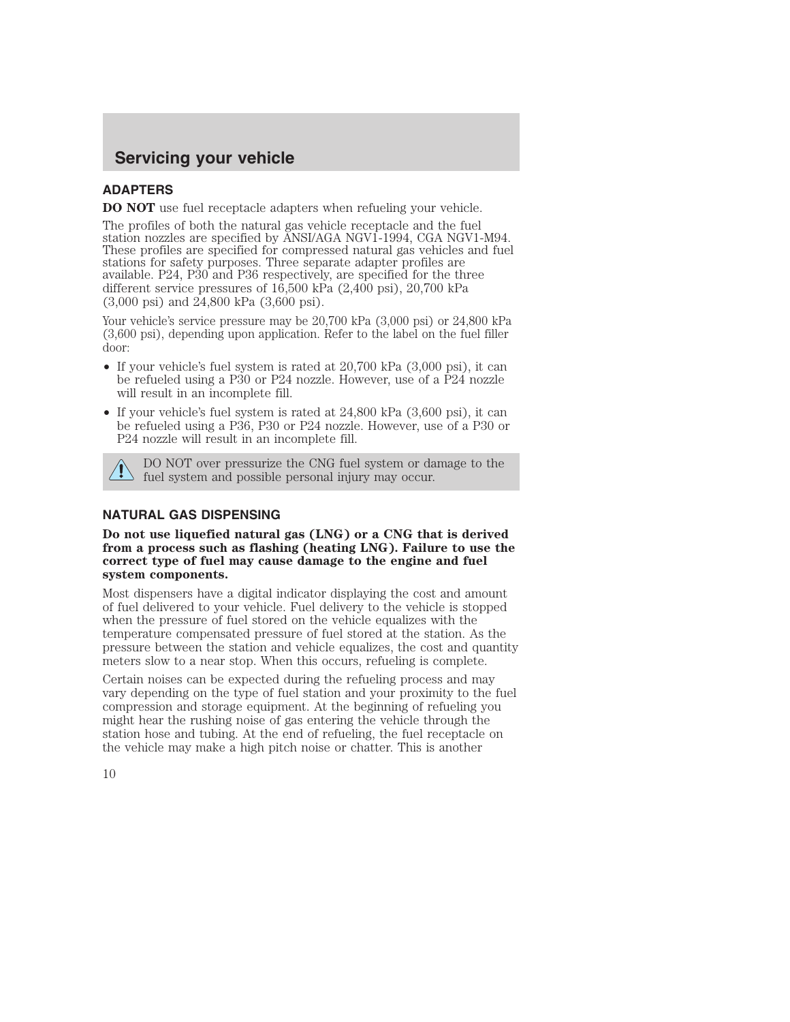## **ADAPTERS**

**DO NOT** use fuel receptacle adapters when refueling your vehicle.

The profiles of both the natural gas vehicle receptacle and the fuel station nozzles are specified by ANSI/AGA NGV1-1994, CGA NGV1-M94. These profiles are specified for compressed natural gas vehicles and fuel stations for safety purposes. Three separate adapter profiles are available. P24, P30 and P36 respectively, are specified for the three different service pressures of 16,500 kPa (2,400 psi), 20,700 kPa (3,000 psi) and 24,800 kPa (3,600 psi).

Your vehicle's service pressure may be 20,700 kPa  $(3,000 \text{ psi})$  or 24,800 kPa (3,600 psi), depending upon application. Refer to the label on the fuel filler door:

- If your vehicle's fuel system is rated at 20,700 kPa  $(3,000 \text{ psi})$ , it can be refueled using a P30 or P24 nozzle. However, use of a P24 nozzle will result in an incomplete fill.
- If your vehicle's fuel system is rated at 24,800 kPa (3,600 psi), it can be refueled using a P36, P30 or P24 nozzle. However, use of a P30 or P24 nozzle will result in an incomplete fill.



DO NOT over pressurize the CNG fuel system or damage to the fuel system and possible personal injury may occur.

## **NATURAL GAS DISPENSING**

**Do not use liquefied natural gas (LNG) or a CNG that is derived from a process such as flashing (heating LNG). Failure to use the correct type of fuel may cause damage to the engine and fuel system components.**

Most dispensers have a digital indicator displaying the cost and amount of fuel delivered to your vehicle. Fuel delivery to the vehicle is stopped when the pressure of fuel stored on the vehicle equalizes with the temperature compensated pressure of fuel stored at the station. As the pressure between the station and vehicle equalizes, the cost and quantity meters slow to a near stop. When this occurs, refueling is complete.

Certain noises can be expected during the refueling process and may vary depending on the type of fuel station and your proximity to the fuel compression and storage equipment. At the beginning of refueling you might hear the rushing noise of gas entering the vehicle through the station hose and tubing. At the end of refueling, the fuel receptacle on the vehicle may make a high pitch noise or chatter. This is another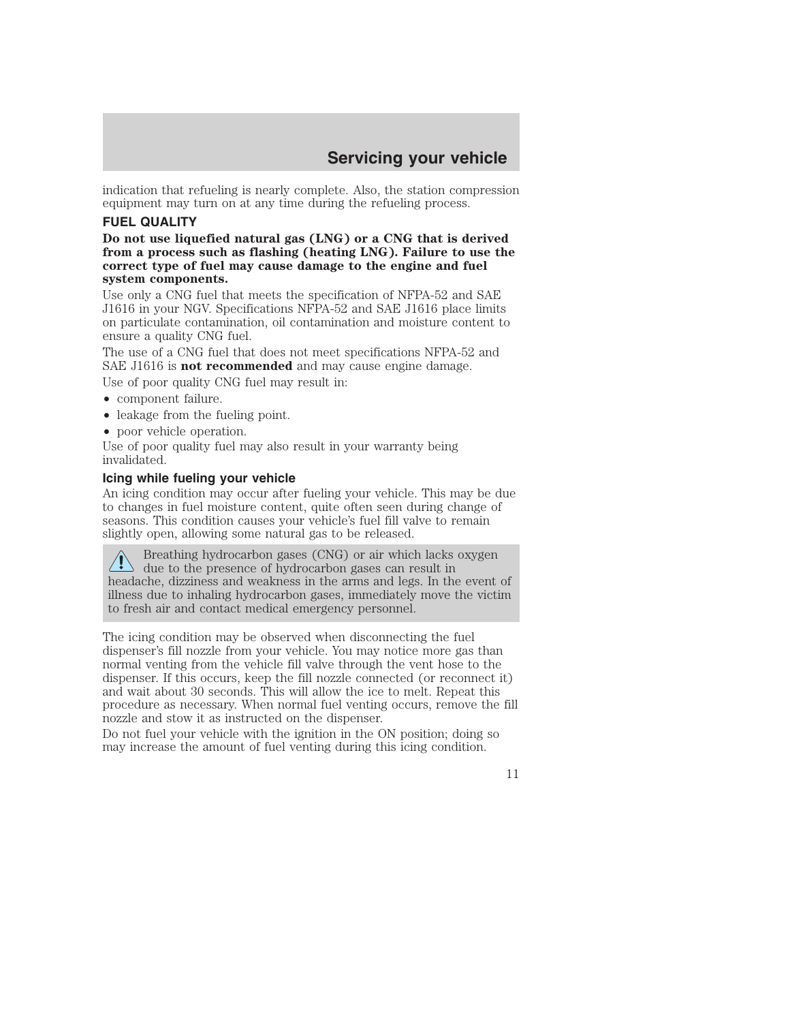indication that refueling is nearly complete. Also, the station compression equipment may turn on at any time during the refueling process.

#### **FUEL QUALITY**

**Do not use liquefied natural gas (LNG) or a CNG that is derived from a process such as flashing (heating LNG). Failure to use the correct type of fuel may cause damage to the engine and fuel system components.**

Use only a CNG fuel that meets the specification of NFPA-52 and SAE J1616 in your NGV. Specifications NFPA-52 and SAE J1616 place limits on particulate contamination, oil contamination and moisture content to ensure a quality CNG fuel.

The use of a CNG fuel that does not meet specifications NFPA-52 and SAE J1616 is **not recommended** and may cause engine damage.

Use of poor quality CNG fuel may result in:

- component failure.
- leakage from the fueling point.
- poor vehicle operation.

Use of poor quality fuel may also result in your warranty being invalidated.

#### **Icing while fueling your vehicle**

An icing condition may occur after fueling your vehicle. This may be due to changes in fuel moisture content, quite often seen during change of seasons. This condition causes your vehicle's fuel fill valve to remain slightly open, allowing some natural gas to be released.

Breathing hydrocarbon gases (CNG) or air which lacks oxygen  $\sum$  due to the presence of hydrocarbon gases can result in headache, dizziness and weakness in the arms and legs. In the event of illness due to inhaling hydrocarbon gases, immediately move the victim to fresh air and contact medical emergency personnel.

The icing condition may be observed when disconnecting the fuel dispenser's fill nozzle from your vehicle. You may notice more gas than normal venting from the vehicle fill valve through the vent hose to the dispenser. If this occurs, keep the fill nozzle connected (or reconnect it) and wait about 30 seconds. This will allow the ice to melt. Repeat this procedure as necessary. When normal fuel venting occurs, remove the fill nozzle and stow it as instructed on the dispenser.

Do not fuel your vehicle with the ignition in the ON position; doing so may increase the amount of fuel venting during this icing condition.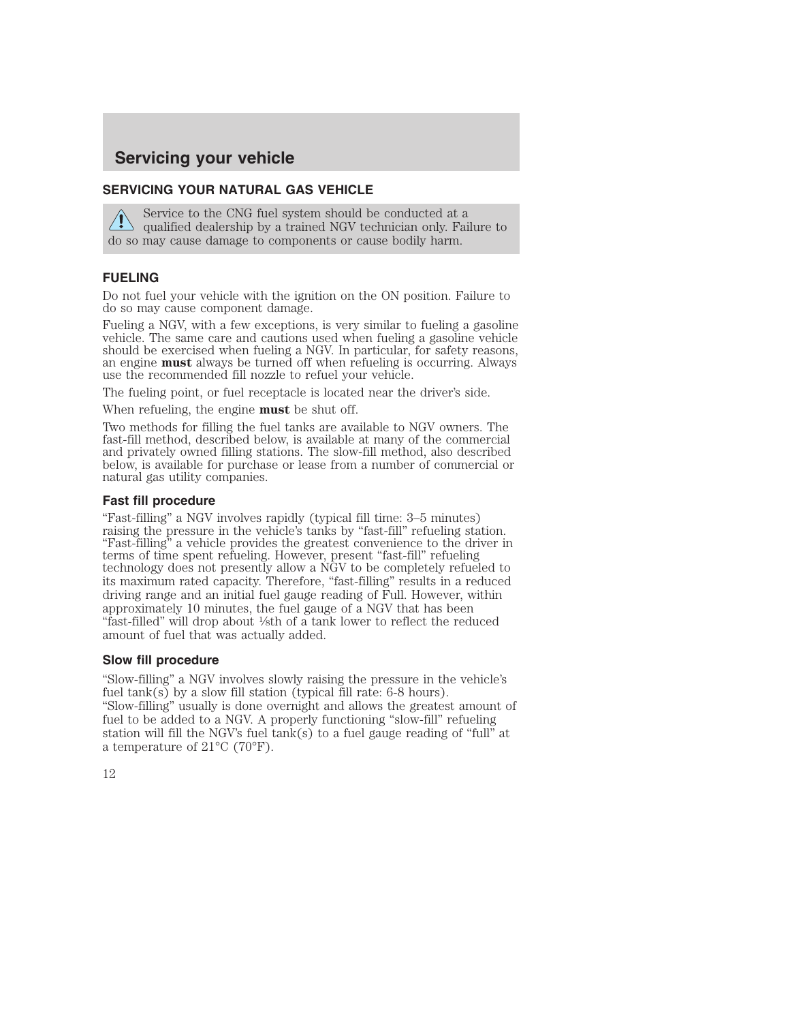#### **SERVICING YOUR NATURAL GAS VEHICLE**

Service to the CNG fuel system should be conducted at a qualified dealership by a trained NGV technician only. Failure to do so may cause damage to components or cause bodily harm.

#### **FUELING**

Do not fuel your vehicle with the ignition on the ON position. Failure to do so may cause component damage.

Fueling a NGV, with a few exceptions, is very similar to fueling a gasoline vehicle. The same care and cautions used when fueling a gasoline vehicle should be exercised when fueling a NGV. In particular, for safety reasons, an engine **must** always be turned off when refueling is occurring. Always use the recommended fill nozzle to refuel your vehicle.

The fueling point, or fuel receptacle is located near the driver's side.

When refueling, the engine **must** be shut off.

Two methods for filling the fuel tanks are available to NGV owners. The fast-fill method, described below, is available at many of the commercial and privately owned filling stations. The slow-fill method, also described below, is available for purchase or lease from a number of commercial or natural gas utility companies.

#### **Fast fill procedure**

"Fast-filling" a NGV involves rapidly (typical fill time: 3–5 minutes) "Fast-filling" a vehicle provides the greatest convenience to the driver in terms of time spent refueling. However, present "fast-fill" refueling technology does not presently allow a NGV to be completely refueled to its maximum rated capacity. Therefore, "fast-filling" results in a reduced driving range and an initial fuel gauge reading of Full. However, within approximately 10 minutes, the fuel gauge of a NGV that has been "fast-filled" will drop about 1⁄8th of a tank lower to reflect the reduced amount of fuel that was actually added.

#### **Slow fill procedure**

"Slow-filling" a NGV involves slowly raising the pressure in the vehicle's fuel tank(s) by a slow fill station (typical fill rate: 6-8 hours). "Slow-filling" usually is done overnight and allows the greatest amount of fuel to be added to a NGV. A properly functioning "slow-fill" refueling station will fill the NGV's fuel tank(s) to a fuel gauge reading of "full" at a temperature of 21°C (70°F).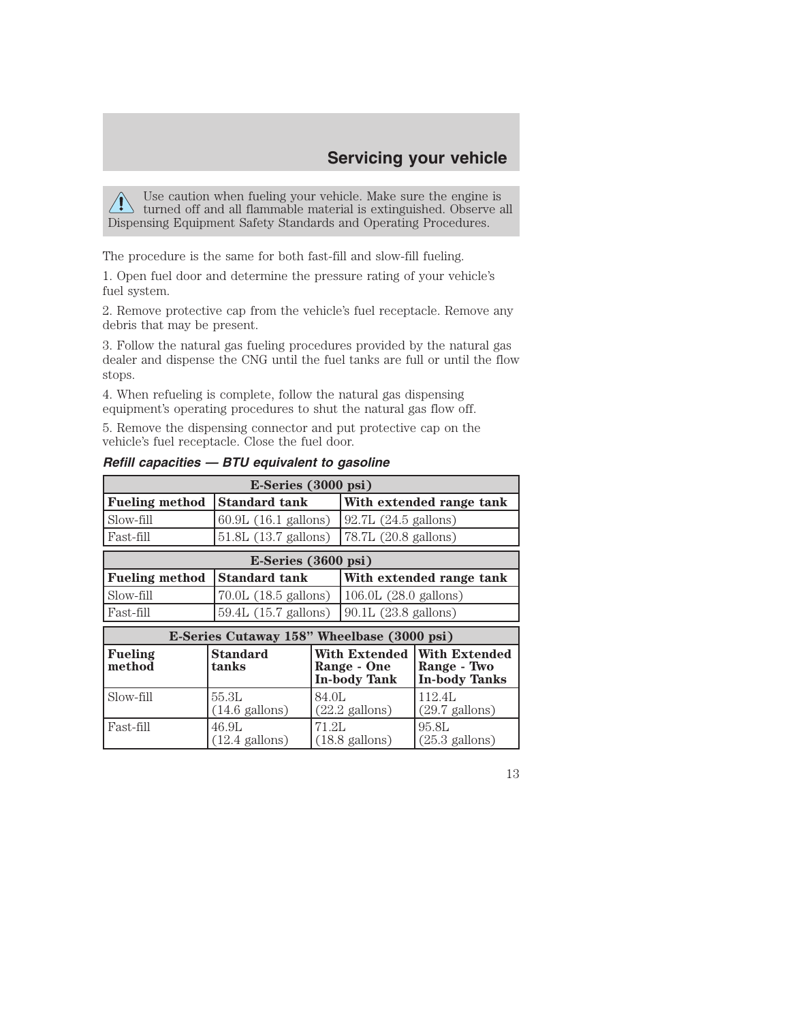Use caution when fueling your vehicle. Make sure the engine is turned off and all flammable material is extinguished. Observe all Dispensing Equipment Safety Standards and Operating Procedures.

The procedure is the same for both fast-fill and slow-fill fueling.

1. Open fuel door and determine the pressure rating of your vehicle's fuel system.

2. Remove protective cap from the vehicle's fuel receptacle. Remove any debris that may be present.

3. Follow the natural gas fueling procedures provided by the natural gas dealer and dispense the CNG until the fuel tanks are full or until the flow stops.

4. When refueling is complete, follow the natural gas dispensing equipment's operating procedures to shut the natural gas flow off.

5. Remove the dispensing connector and put protective cap on the vehicle's fuel receptacle. Close the fuel door.

| $E\text{-Series}$ (3000 psi)               |                                   |       |                                                            |                                                             |  |
|--------------------------------------------|-----------------------------------|-------|------------------------------------------------------------|-------------------------------------------------------------|--|
| <b>Fueling method</b>                      | Standard tank                     |       |                                                            | With extended range tank                                    |  |
| Slow-fill                                  | 60.9L (16.1 gallons)              |       | 92.7L (24.5 gallons)                                       |                                                             |  |
| Fast-fill                                  | $51.8L$ (13.7 gallons)            |       | 78.7L (20.8 gallons)                                       |                                                             |  |
| E-Series (3600 psi)                        |                                   |       |                                                            |                                                             |  |
| <b>Fueling method</b>                      | <b>Standard tank</b>              |       | With extended range tank                                   |                                                             |  |
| Slow-fill                                  | 70.0L (18.5 gallons)              |       | $106.0L$ (28.0 gallons)                                    |                                                             |  |
| Fast-fill                                  | 59.4L (15.7 gallons)              |       | 90.1L (23.8 gallons)                                       |                                                             |  |
| E-Series Cutaway 158" Wheelbase (3000 psi) |                                   |       |                                                            |                                                             |  |
| <b>Fueling</b><br>method                   | Standard<br>tanks                 |       | <b>With Extended</b><br>Range - One<br><b>In-body Tank</b> | <b>With Extended</b><br>Range - Two<br><b>In-body Tanks</b> |  |
| Slow-fill                                  | 55.3L<br>$(14.6 \text{ gallons})$ | 84.OL | $(22.2 \text{ gallons})$                                   | 112.4L<br>$(29.7 \text{ gallons})$                          |  |
| Fast-fill                                  | 46.9L<br>$(12.4 \text{ gallons})$ | 71.2L | $(18.8 \text{ gallons})$                                   | 95.8L<br>$(25.3 \text{ gallons})$                           |  |

## *Refill capacities — BTU equivalent to gasoline*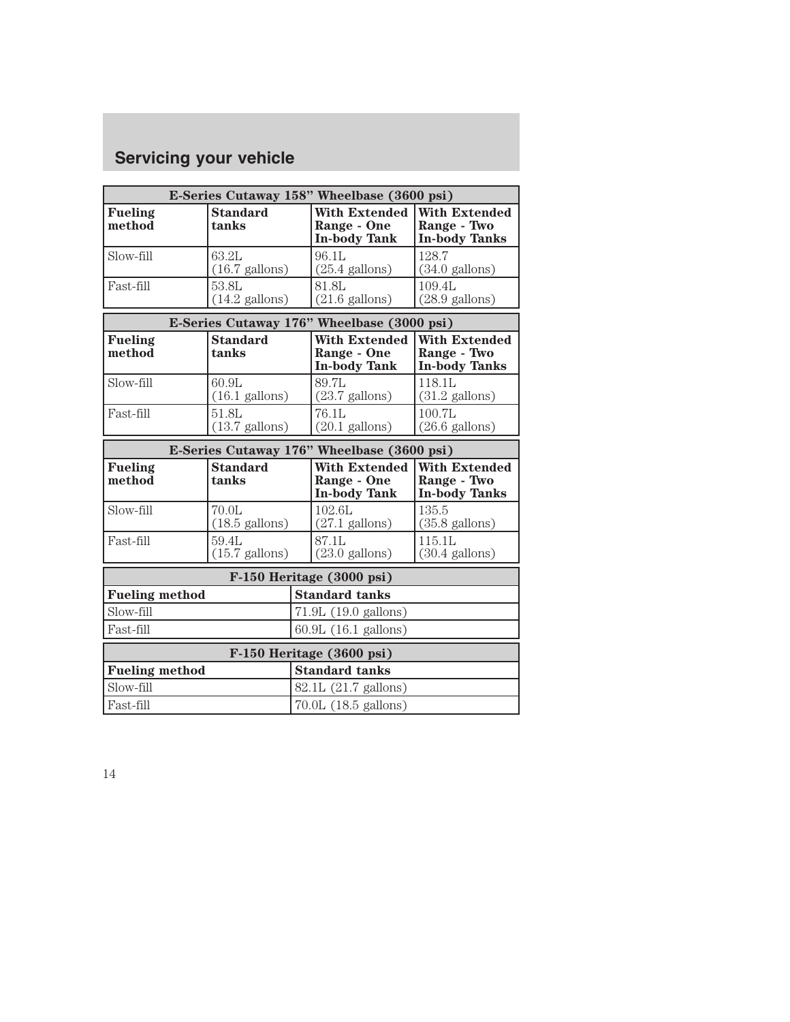| E-Series Cutaway 158" Wheelbase (3600 psi) |                                   |                      |                                                            |                                                             |  |
|--------------------------------------------|-----------------------------------|----------------------|------------------------------------------------------------|-------------------------------------------------------------|--|
| <b>Fueling</b><br>method                   | <b>Standard</b><br>tanks          |                      | <b>With Extended</b><br>Range - One<br><b>In-body Tank</b> | <b>With Extended</b><br>Range - Two<br><b>In-body Tanks</b> |  |
| Slow-fill                                  | 63.2L<br>$(16.7 \text{ gallons})$ |                      | 96.1L<br>$(25.4 \text{ gallons})$                          | 128.7<br>$(34.0 \text{ gallons})$                           |  |
| Fast-fill                                  | 53.8L<br>$(14.2 \text{ gallons})$ |                      | 81.8L<br>$(21.6 \text{ gallons})$                          | 109.4L<br>$(28.9 \text{ gallons})$                          |  |
| E-Series Cutaway 176" Wheelbase (3000 psi) |                                   |                      |                                                            |                                                             |  |
| <b>Fueling</b><br>method                   | <b>Standard</b><br>tanks          |                      | <b>With Extended</b><br>Range - One<br><b>In-body Tank</b> | <b>With Extended</b><br>Range - Two<br><b>In-body Tanks</b> |  |
| Slow-fill                                  | 60.9L<br>$(16.1 \text{ gallons})$ |                      | 89.7L<br>$(23.7 \text{ gallons})$                          | 118.1L<br>$(31.2 \text{ gallons})$                          |  |
| Fast-fill                                  | 51.8L<br>$(13.7 \text{ gallons})$ |                      | 76.1L<br>$(20.1 \text{ gallons})$                          | 100.7L<br>$(26.6 \text{ gallons})$                          |  |
| E-Series Cutaway 176" Wheelbase (3600 psi) |                                   |                      |                                                            |                                                             |  |
| <b>Fueling</b><br>method                   | <b>Standard</b><br>tanks          |                      | <b>With Extended</b><br>Range - One<br><b>In-body Tank</b> | <b>With Extended</b><br>Range - Two<br><b>In-body Tanks</b> |  |
| Slow-fill                                  | 70.0L<br>$(18.5 \text{ gallons})$ |                      | 102.6L<br>$(27.1 \text{ gallons})$                         | 135.5<br>$(35.8 \text{ gallons})$                           |  |
| Fast-fill                                  | 59.4L<br>$(15.7 \text{ gallons})$ |                      | 87.1L<br>$(23.0 \text{ gallons})$                          | 115.1L<br>$(30.4 \text{ gallons})$                          |  |
| F-150 Heritage (3000 psi)                  |                                   |                      |                                                            |                                                             |  |
| <b>Fueling method</b>                      | <b>Standard tanks</b>             |                      |                                                            |                                                             |  |
| Slow-fill                                  |                                   |                      | 71.9L (19.0 gallons)                                       |                                                             |  |
| Fast-fill                                  |                                   | 60.9L (16.1 gallons) |                                                            |                                                             |  |
| F-150 Heritage (3600 psi)                  |                                   |                      |                                                            |                                                             |  |
| <b>Fueling method</b>                      |                                   |                      | <b>Standard tanks</b>                                      |                                                             |  |
| Slow-fill                                  | 82.1L (21.7 gallons)              |                      |                                                            |                                                             |  |
| Fast-fill                                  | 70.0L (18.5 gallons)              |                      |                                                            |                                                             |  |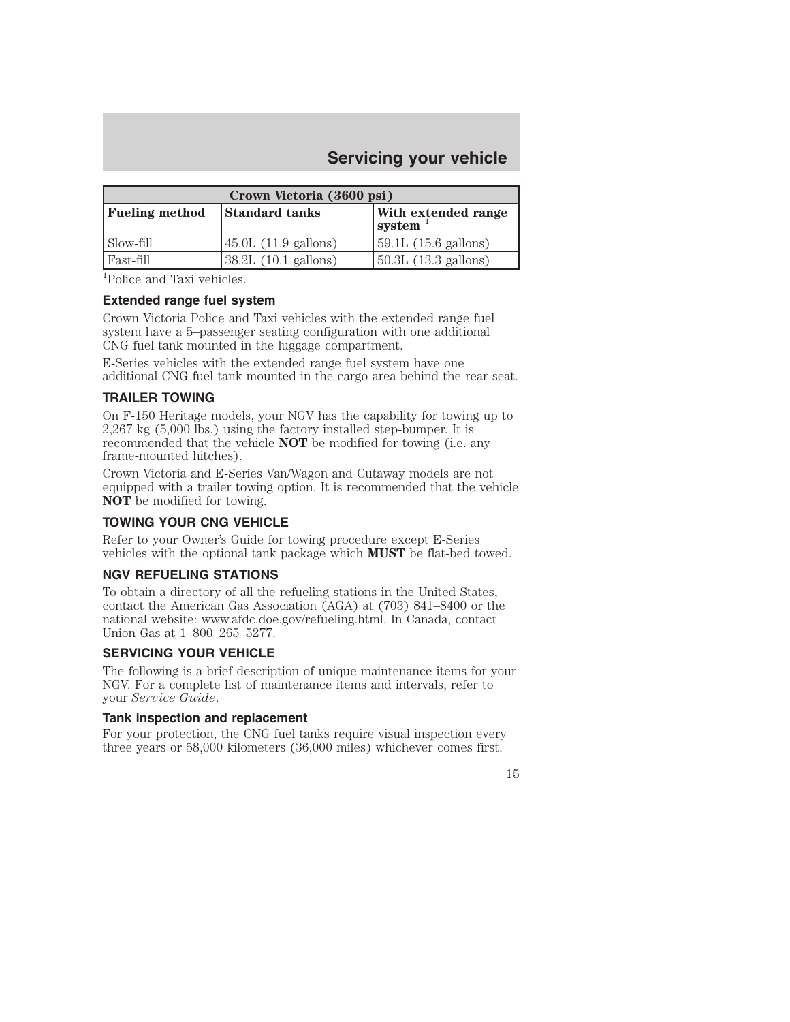| Crown Victoria (3600 psi) |                               |                                      |  |  |  |
|---------------------------|-------------------------------|--------------------------------------|--|--|--|
| <b>Fueling method</b>     | <b>Standard tanks</b>         | <b>With extended range</b><br>system |  |  |  |
| Slow-fill                 | $45.0L$ (11.9 gallons)        | $59.1L(15.6 \text{ gallons})$        |  |  |  |
| Fast-fill                 | $38.2L(10.1 \text{ gallons})$ | $\vert$ 50.3L (13.3 gallons)         |  |  |  |

1 Police and Taxi vehicles.

#### **Extended range fuel system**

Crown Victoria Police and Taxi vehicles with the extended range fuel system have a 5–passenger seating configuration with one additional CNG fuel tank mounted in the luggage compartment.

E-Series vehicles with the extended range fuel system have one additional CNG fuel tank mounted in the cargo area behind the rear seat.

#### **TRAILER TOWING**

On F-150 Heritage models, your NGV has the capability for towing up to 2,267 kg (5,000 lbs.) using the factory installed step-bumper. It is recommended that the vehicle **NOT** be modified for towing (i.e.-any frame-mounted hitches).

Crown Victoria and E-Series Van/Wagon and Cutaway models are not equipped with a trailer towing option. It is recommended that the vehicle **NOT** be modified for towing.

#### **TOWING YOUR CNG VEHICLE**

Refer to your Owner's Guide for towing procedure except E-Series vehicles with the optional tank package which **MUST** be flat-bed towed.

## **NGV REFUELING STATIONS**

To obtain a directory of all the refueling stations in the United States, contact the American Gas Association (AGA) at (703) 841–8400 or the national website: www.afdc.doe.gov/refueling.html. In Canada, contact Union Gas at 1–800–265–5277.

#### **SERVICING YOUR VEHICLE**

The following is a brief description of unique maintenance items for your NGV. For a complete list of maintenance items and intervals, refer to your *Service Guide*.

#### **Tank inspection and replacement**

For your protection, the CNG fuel tanks require visual inspection every three years or 58,000 kilometers (36,000 miles) whichever comes first.